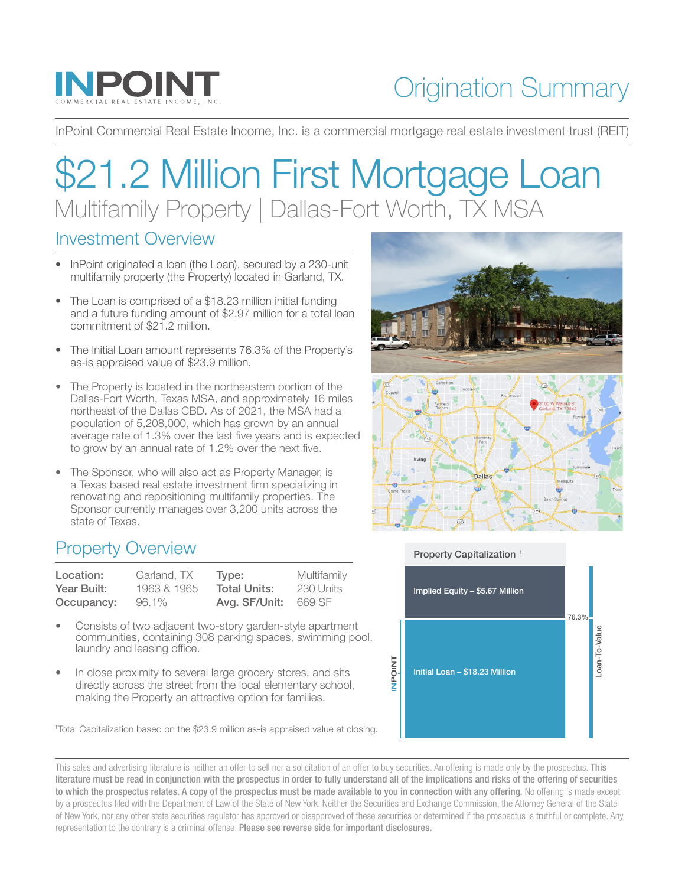

## Origination Summary

InPoint Commercial Real Estate Income, Inc. is a commercial mortgage real estate investment trust (REIT)

# \$21.2 Million First Mortgage Loan Multifamily Property | Dallas-Fort Worth, TX MSA

#### Investment Overview

- InPoint originated a loan (the Loan), secured by a 230-unit multifamily property (the Property) located in Garland, TX.
- The Loan is comprised of a \$18.23 million initial funding and a future funding amount of \$2.97 million for a total loan commitment of \$21.2 million.
- The Initial Loan amount represents 76.3% of the Property's as-is appraised value of \$23.9 million.
- The Property is located in the northeastern portion of the Dallas-Fort Worth, Texas MSA, and approximately 16 miles northeast of the Dallas CBD. As of 2021, the MSA had a population of 5,208,000, which has grown by an annual average rate of 1.3% over the last five years and is expected to grow by an annual rate of 1.2% over the next five.
- The Sponsor, who will also act as Property Manager, is a Texas based real estate investment firm specializing in renovating and repositioning multifamily properties. The Sponsor currently manages over 3,200 units across the state of Texas.

### Property Overview

| Location:   | Garland, TX | Type:               | Multifamily |
|-------------|-------------|---------------------|-------------|
| Year Built: | 1963 & 1965 | <b>Total Units:</b> | -230 Units  |
| Occupancy:  | 96.1%       | Avg. SF/Unit:       | 669 SF      |

- Consists of two adjacent two-story garden-style apartment communities, containing 308 parking spaces, swimming pool, laundry and leasing office.
- In close proximity to several large grocery stores, and sits directly across the street from the local elementary school, making the Property an attractive option for families.

1 Total Capitalization based on the \$23.9 million as-is appraised value at closing.

This sales and advertising literature is neither an offer to sell nor a solicitation of an offer to buy securities. An offering is made only by the prospectus. This literature must be read in conjunction with the prospectus in order to fully understand all of the implications and risks of the offering of securities to which the prospectus relates. A copy of the prospectus must be made available to you in connection with any offering. No offering is made except by a prospectus filed with the Department of Law of the State of New York. Neither the Securities and Exchange Commission, the Attorney General of the State of New York, nor any other state securities regulator has approved or disapproved of these securities or determined if the prospectus is truthful or complete. Any representation to the contrary is a criminal offense. Please see reverse side for important disclosures.